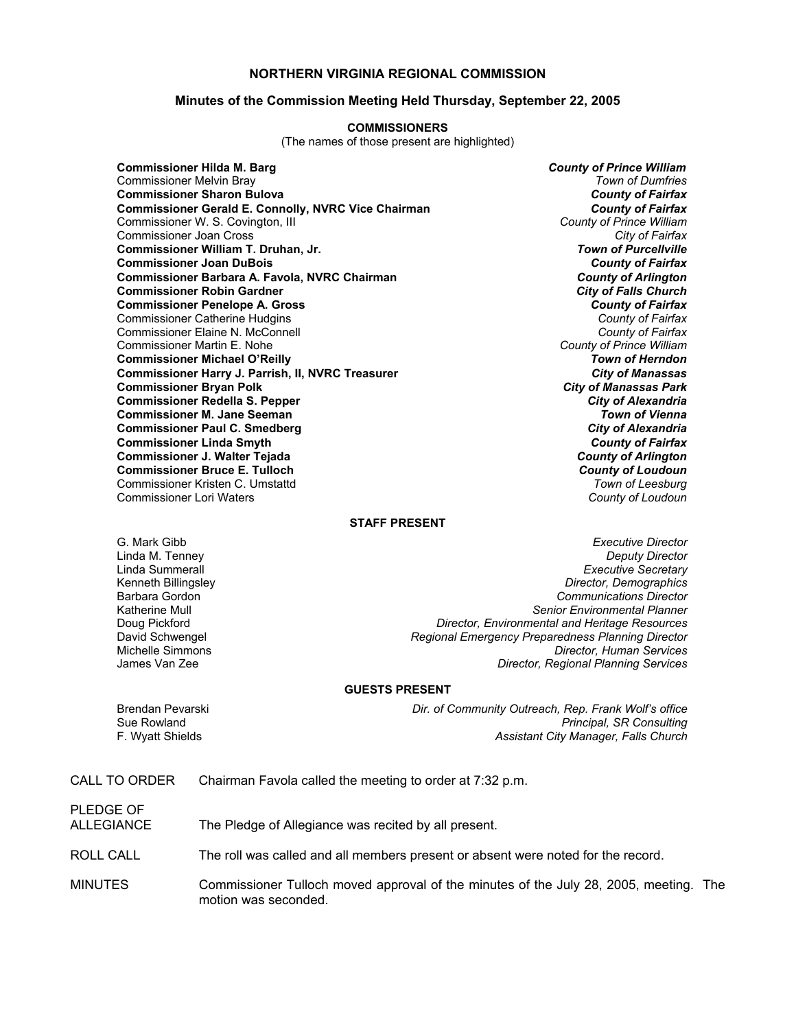### **NORTHERN VIRGINIA REGIONAL COMMISSION**

#### **Minutes of the Commission Meeting Held Thursday, September 22, 2005**

#### **COMMISSIONERS**

(The names of those present are highlighted)

**Commissioner Hilda M. Barg** *County of Prince William* Commissioner Melvin Bray *Town of Dumfries* **Commissioner Sharon Bulova** *County of Fairfax* **Commissioner Gerald E. Connolly, NVRC Vice Chairman** *County of Fairfax**County of Fairfax***<br>Commissioner W. S. Covington, Ill <b>County of Prince William** Commissioner W. S. Covington, III *County of Prince William* Commissioner Joan Cross *City of Fairfax* **Commissioner William T. Druhan, Jr. Commissioner Joan DuBois** *County of Fairfax* **Commissioner Barbara A. Favola, NVRC Chairman** *County of Arlington* **Commissioner Robin Gardner** *City of Falls Church* **Commissioner Penelope A. Gross** *County of Fairfax* Commissioner Catherine Hudgins *County of Fairfax* Commissioner Elaine N. McConnell *County of Fairfax* Commissioner Martin E. Nohe *County of Prince William* **Commissioner Michael O'Reilly** *Town of Herndon* **Commissioner Harry J. Parrish, II, NVRC Treasurer Commissioner Bryan Polk** *City of Manassas Park* **Commissioner Redella S. Pepper** *City of Alexandria* **Commissioner M. Jane Seeman** *Town of Vienna* **Commissioner Paul C. Smedberg Commissioner Linda Smyth** *County of Fairfax* **Commissioner J. Walter Tejada** *County of Arlington* **Commissioner Bruce E. Tulloch** *County of Loudoun* Commissioner Kristen C. Umstattd *Town of Leesburg* Commissioner Lori Waters *County of Loudoun*

#### **STAFF PRESENT**

Linda M. Tenney

G. Mark Gibb *Executive Director* Linda Summerall *Executive Secretary* Kenneth Billingsley *Director, Demographics* Barbara Gordon *Communications Director* Katherine Mull *Senior Environmental Planner* Doug Pickford *Director, Environmental and Heritage Resources* David Schwengel *Regional Emergency Preparedness Planning Director* Michelle Simmons *Director, Human Services* **Director, Regional Planning Services** 

#### **GUESTS PRESENT**

Brendan Pevarski *Dir. of Community Outreach, Rep. Frank Wolf's office* Sue Rowland *Principal, SR Consulting* F. Wyatt Shields *Assistant City Manager, Falls Church*

CALL TO ORDER Chairman Favola called the meeting to order at 7:32 p.m.

PLEDGE OF

ALLEGIANCE The Pledge of Allegiance was recited by all present.

ROLL CALL The roll was called and all members present or absent were noted for the record.

MINUTES Commissioner Tulloch moved approval of the minutes of the July 28, 2005, meeting. The motion was seconded.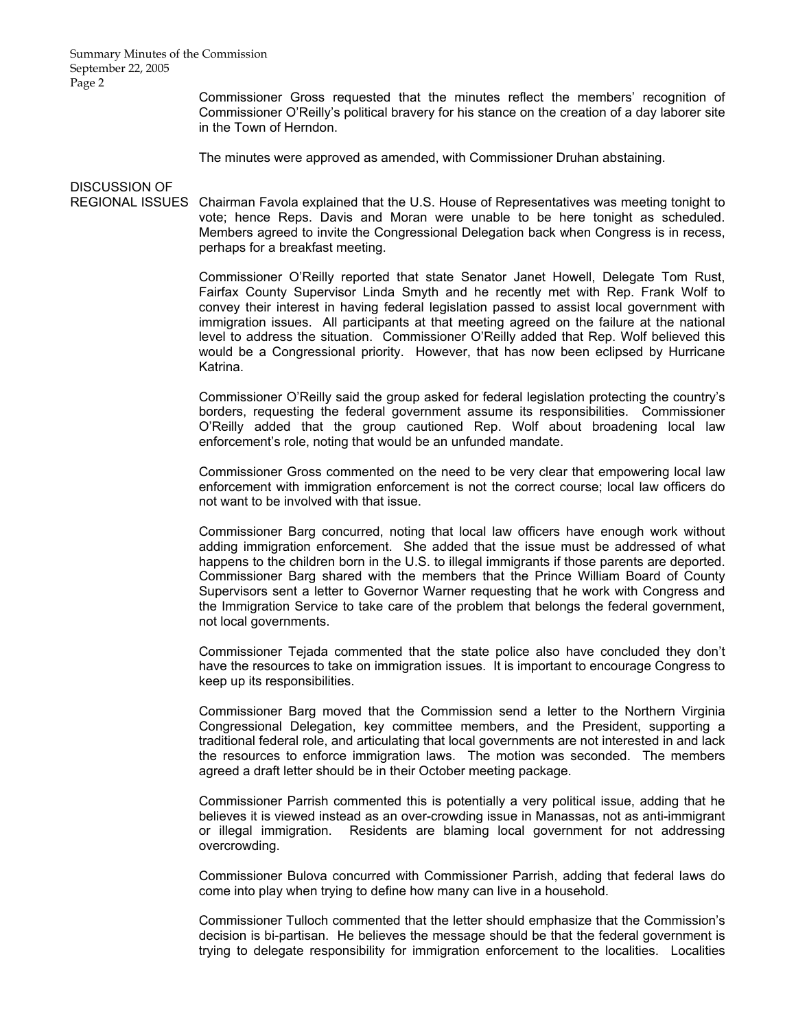Summary Minutes of the Commission September 22, 2005 Page 2

> Commissioner Gross requested that the minutes reflect the members' recognition of Commissioner O'Reilly's political bravery for his stance on the creation of a day laborer site in the Town of Herndon.

The minutes were approved as amended, with Commissioner Druhan abstaining.

# DISCUSSION OF

REGIONAL ISSUES Chairman Favola explained that the U.S. House of Representatives was meeting tonight to vote; hence Reps. Davis and Moran were unable to be here tonight as scheduled. Members agreed to invite the Congressional Delegation back when Congress is in recess, perhaps for a breakfast meeting.

> Commissioner O'Reilly reported that state Senator Janet Howell, Delegate Tom Rust, Fairfax County Supervisor Linda Smyth and he recently met with Rep. Frank Wolf to convey their interest in having federal legislation passed to assist local government with immigration issues. All participants at that meeting agreed on the failure at the national level to address the situation. Commissioner O'Reilly added that Rep. Wolf believed this would be a Congressional priority. However, that has now been eclipsed by Hurricane Katrina.

> Commissioner O'Reilly said the group asked for federal legislation protecting the country's borders, requesting the federal government assume its responsibilities. Commissioner O'Reilly added that the group cautioned Rep. Wolf about broadening local law enforcement's role, noting that would be an unfunded mandate.

> Commissioner Gross commented on the need to be very clear that empowering local law enforcement with immigration enforcement is not the correct course; local law officers do not want to be involved with that issue.

> Commissioner Barg concurred, noting that local law officers have enough work without adding immigration enforcement. She added that the issue must be addressed of what happens to the children born in the U.S. to illegal immigrants if those parents are deported. Commissioner Barg shared with the members that the Prince William Board of County Supervisors sent a letter to Governor Warner requesting that he work with Congress and the Immigration Service to take care of the problem that belongs the federal government, not local governments.

> Commissioner Tejada commented that the state police also have concluded they don't have the resources to take on immigration issues. It is important to encourage Congress to keep up its responsibilities.

> Commissioner Barg moved that the Commission send a letter to the Northern Virginia Congressional Delegation, key committee members, and the President, supporting a traditional federal role, and articulating that local governments are not interested in and lack the resources to enforce immigration laws. The motion was seconded. The members agreed a draft letter should be in their October meeting package.

> Commissioner Parrish commented this is potentially a very political issue, adding that he believes it is viewed instead as an over-crowding issue in Manassas, not as anti-immigrant or illegal immigration. Residents are blaming local government for not addressing overcrowding.

> Commissioner Bulova concurred with Commissioner Parrish, adding that federal laws do come into play when trying to define how many can live in a household.

> Commissioner Tulloch commented that the letter should emphasize that the Commission's decision is bi-partisan. He believes the message should be that the federal government is trying to delegate responsibility for immigration enforcement to the localities. Localities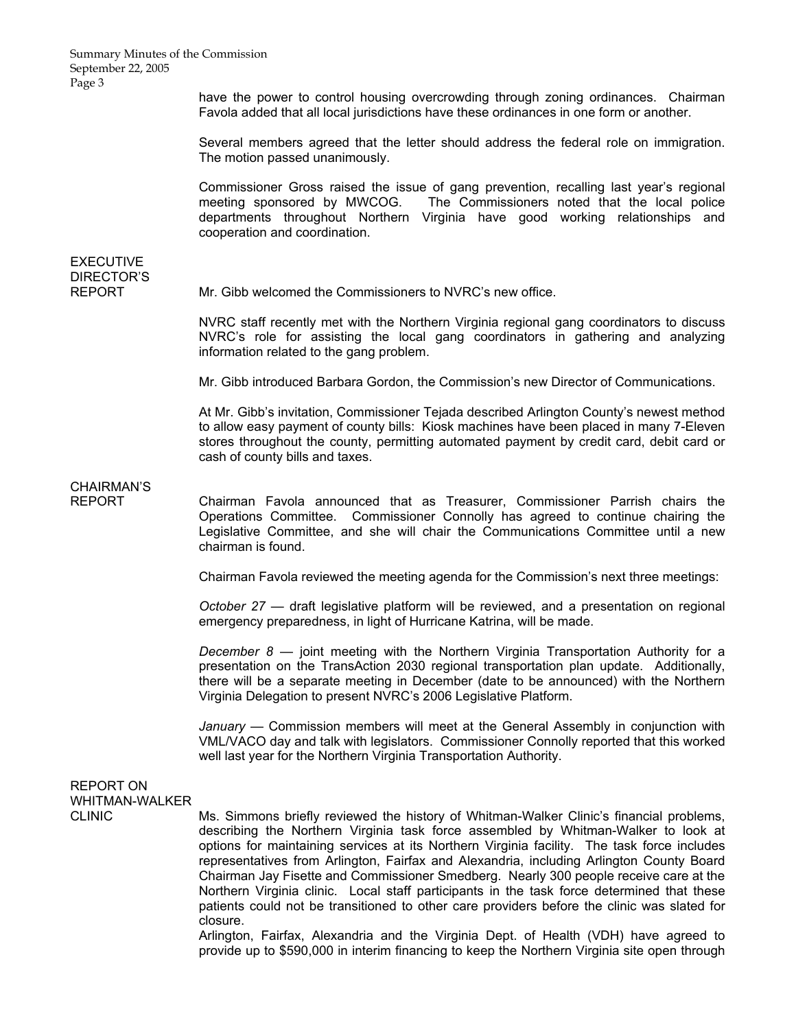Summary Minutes of the Commission September 22, 2005 Page 3

> have the power to control housing overcrowding through zoning ordinances. Chairman Favola added that all local jurisdictions have these ordinances in one form or another.

> Several members agreed that the letter should address the federal role on immigration. The motion passed unanimously.

> Commissioner Gross raised the issue of gang prevention, recalling last year's regional meeting sponsored by MWCOG. The Commissioners noted that the local police departments throughout Northern Virginia have good working relationships and cooperation and coordination.

## **EXECUTIVE** DIRECTOR'S

REPORT Mr. Gibb welcomed the Commissioners to NVRC's new office.

NVRC staff recently met with the Northern Virginia regional gang coordinators to discuss NVRC's role for assisting the local gang coordinators in gathering and analyzing information related to the gang problem.

Mr. Gibb introduced Barbara Gordon, the Commission's new Director of Communications.

At Mr. Gibb's invitation, Commissioner Tejada described Arlington County's newest method to allow easy payment of county bills: Kiosk machines have been placed in many 7-Eleven stores throughout the county, permitting automated payment by credit card, debit card or cash of county bills and taxes.

### CHAIRMAN'S

REPORT Chairman Favola announced that as Treasurer, Commissioner Parrish chairs the Operations Committee. Commissioner Connolly has agreed to continue chairing the Legislative Committee, and she will chair the Communications Committee until a new chairman is found.

Chairman Favola reviewed the meeting agenda for the Commission's next three meetings:

 *October 27* — draft legislative platform will be reviewed, and a presentation on regional emergency preparedness, in light of Hurricane Katrina, will be made.

 *December 8* — joint meeting with the Northern Virginia Transportation Authority for a presentation on the TransAction 2030 regional transportation plan update. Additionally, there will be a separate meeting in December (date to be announced) with the Northern Virginia Delegation to present NVRC's 2006 Legislative Platform.

 *January* — Commission members will meet at the General Assembly in conjunction with VML/VACO day and talk with legislators. Commissioner Connolly reported that this worked well last year for the Northern Virginia Transportation Authority.

## REPORT ON WHITMAN-WALKER

CLINIC Ms. Simmons briefly reviewed the history of Whitman-Walker Clinic's financial problems, describing the Northern Virginia task force assembled by Whitman-Walker to look at options for maintaining services at its Northern Virginia facility. The task force includes representatives from Arlington, Fairfax and Alexandria, including Arlington County Board Chairman Jay Fisette and Commissioner Smedberg. Nearly 300 people receive care at the Northern Virginia clinic. Local staff participants in the task force determined that these patients could not be transitioned to other care providers before the clinic was slated for closure.

> Arlington, Fairfax, Alexandria and the Virginia Dept. of Health (VDH) have agreed to provide up to \$590,000 in interim financing to keep the Northern Virginia site open through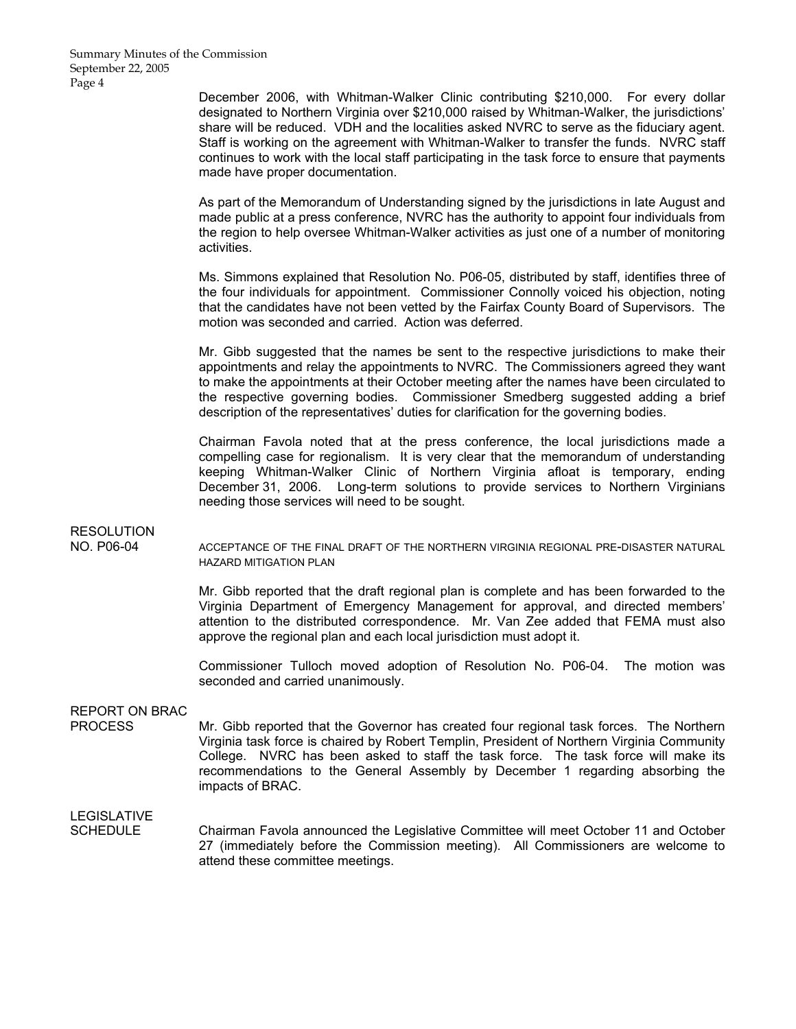December 2006, with Whitman-Walker Clinic contributing \$210,000. For every dollar designated to Northern Virginia over \$210,000 raised by Whitman-Walker, the jurisdictions' share will be reduced. VDH and the localities asked NVRC to serve as the fiduciary agent. Staff is working on the agreement with Whitman-Walker to transfer the funds. NVRC staff continues to work with the local staff participating in the task force to ensure that payments made have proper documentation.

 As part of the Memorandum of Understanding signed by the jurisdictions in late August and made public at a press conference, NVRC has the authority to appoint four individuals from the region to help oversee Whitman-Walker activities as just one of a number of monitoring activities.

 Ms. Simmons explained that Resolution No. P06-05, distributed by staff, identifies three of the four individuals for appointment. Commissioner Connolly voiced his objection, noting that the candidates have not been vetted by the Fairfax County Board of Supervisors. The motion was seconded and carried. Action was deferred.

 Mr. Gibb suggested that the names be sent to the respective jurisdictions to make their appointments and relay the appointments to NVRC. The Commissioners agreed they want to make the appointments at their October meeting after the names have been circulated to the respective governing bodies. Commissioner Smedberg suggested adding a brief description of the representatives' duties for clarification for the governing bodies.

 Chairman Favola noted that at the press conference, the local jurisdictions made a compelling case for regionalism. It is very clear that the memorandum of understanding keeping Whitman-Walker Clinic of Northern Virginia afloat is temporary, ending December 31, 2006. Long-term solutions to provide services to Northern Virginians needing those services will need to be sought.

### RESOLUTION

NO. P06-04 ACCEPTANCE OF THE FINAL DRAFT OF THE NORTHERN VIRGINIA REGIONAL PRE-DISASTER NATURAL HAZARD MITIGATION PLAN

> Mr. Gibb reported that the draft regional plan is complete and has been forwarded to the Virginia Department of Emergency Management for approval, and directed members' attention to the distributed correspondence. Mr. Van Zee added that FEMA must also approve the regional plan and each local jurisdiction must adopt it.

> Commissioner Tulloch moved adoption of Resolution No. P06-04. The motion was seconded and carried unanimously.

## REPORT ON BRAC

PROCESS Mr. Gibb reported that the Governor has created four regional task forces. The Northern Virginia task force is chaired by Robert Templin, President of Northern Virginia Community College. NVRC has been asked to staff the task force. The task force will make its recommendations to the General Assembly by December 1 regarding absorbing the impacts of BRAC.

## **LEGISLATIVE**

SCHEDULE Chairman Favola announced the Legislative Committee will meet October 11 and October 27 (immediately before the Commission meeting). All Commissioners are welcome to attend these committee meetings.